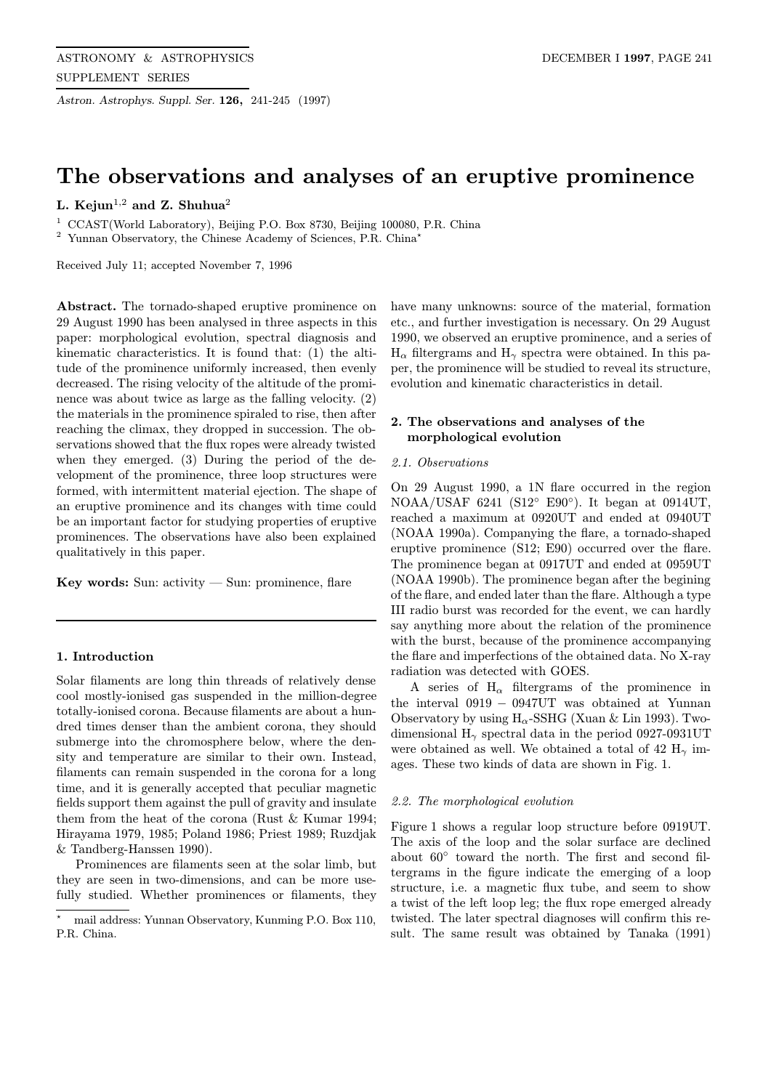Astron. Astrophys. Suppl. Ser. 126, 241-245 (1997)

# The observations and analyses of an eruptive prominence

## L. Kejun<sup>1,2</sup> and Z. Shuhua<sup>2</sup>

<sup>1</sup> CCAST(World Laboratory), Beijing P.O. Box 8730, Beijing 100080, P.R. China

 $^2\,$  Yunnan Observatory, the Chinese Academy of Sciences, P.R. China\*

Received July 11; accepted November 7, 1996

Abstract. The tornado-shaped eruptive prominence on 29 August 1990 has been analysed in three aspects in this paper: morphological evolution, spectral diagnosis and kinematic characteristics. It is found that: (1) the altitude of the prominence uniformly increased, then evenly decreased. The rising velocity of the altitude of the prominence was about twice as large as the falling velocity. (2) the materials in the prominence spiraled to rise, then after reaching the climax, they dropped in succession. The observations showed that the flux ropes were already twisted when they emerged. (3) During the period of the development of the prominence, three loop structures were formed, with intermittent material ejection. The shape of an eruptive prominence and its changes with time could be an important factor for studying properties of eruptive prominences. The observations have also been explained qualitatively in this paper.

Key words: Sun:  $\text{activity} - \text{Sun}$ : prominence, flare

## 1. Introduction

Solar filaments are long thin threads of relatively dense cool mostly-ionised gas suspended in the million-degree totally-ionised corona. Because filaments are about a hundred times denser than the ambient corona, they should submerge into the chromosphere below, where the density and temperature are similar to their own. Instead, filaments can remain suspended in the corona for a long time, and it is generally accepted that peculiar magnetic fields support them against the pull of gravity and insulate them from the heat of the corona (Rust & Kumar 1994; Hirayama 1979, 1985; Poland 1986; Priest 1989; Ruzdjak & Tandberg-Hanssen 1990).

Prominences are filaments seen at the solar limb, but they are seen in two-dimensions, and can be more usefully studied. Whether prominences or filaments, they have many unknowns: source of the material, formation etc., and further investigation is necessary. On 29 August 1990, we observed an eruptive prominence, and a series of  $H_{\alpha}$  filtergrams and  $H_{\gamma}$  spectra were obtained. In this paper, the prominence will be studied to reveal its structure, evolution and kinematic characteristics in detail.

## 2. The observations and analyses of the morphological evolution

## 2.1. Observations

On 29 August 1990, a 1N flare occurred in the region NOAA/USAF 6241 (S12◦ E90◦). It began at 0914UT, reached a maximum at 0920UT and ended at 0940UT (NOAA 1990a). Companying the flare, a tornado-shaped eruptive prominence (S12; E90) occurred over the flare. The prominence began at 0917UT and ended at 0959UT (NOAA 1990b). The prominence began after the begining of the flare, and ended later than the flare. Although a type III radio burst was recorded for the event, we can hardly say anything more about the relation of the prominence with the burst, because of the prominence accompanying the flare and imperfections of the obtained data. No X-ray radiation was detected with GOES.

A series of  $H_{\alpha}$  filtergrams of the prominence in the interval 0919 − 0947UT was obtained at Yunnan Observatory by using  $H_{\alpha}$ -SSHG (Xuan & Lin 1993). Twodimensional  $H_{\gamma}$  spectral data in the period 0927-0931UT were obtained as well. We obtained a total of 42  $\rm H_{\gamma}$  images. These two kinds of data are shown in Fig. 1.

## 2.2. The morphological evolution

Figure 1 shows a regular loop structure before 0919UT. The axis of the loop and the solar surface are declined about 60◦ toward the north. The first and second filtergrams in the figure indicate the emerging of a loop structure, i.e. a magnetic flux tube, and seem to show a twist of the left loop leg; the flux rope emerged already twisted. The later spectral diagnoses will confirm this result. The same result was obtained by Tanaka (1991)

<sup>?</sup> mail address: Yunnan Observatory, Kunming P.O. Box 110, P.R. China.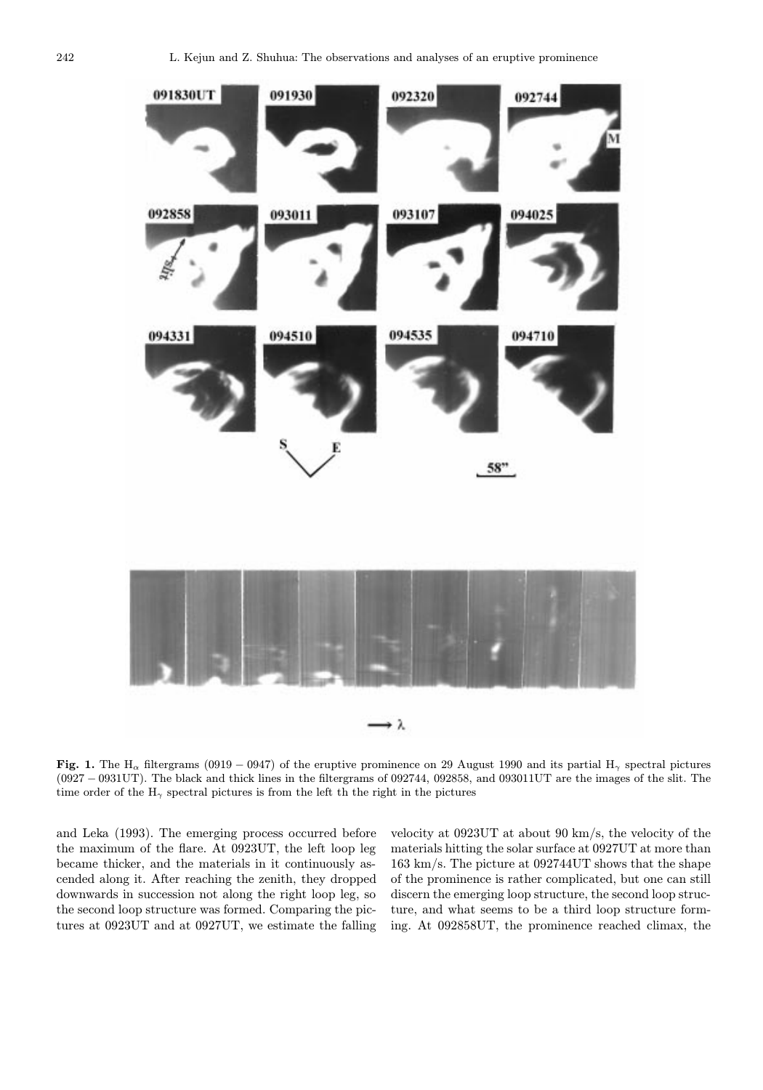

Fig. 1. The H<sub>α</sub> filtergrams (0919 – 0947) of the eruptive prominence on 29 August 1990 and its partial H<sub>γ</sub> spectral pictures (0927 − 0931UT). The black and thick lines in the filtergrams of 092744, 092858, and 093011UT are the images of the slit. The time order of the  $H_{\gamma}$  spectral pictures is from the left th the right in the pictures

and Leka (1993). The emerging process occurred before the maximum of the flare. At 0923UT, the left loop leg became thicker, and the materials in it continuously ascended along it. After reaching the zenith, they dropped downwards in succession not along the right loop leg, so the second loop structure was formed. Comparing the pictures at 0923UT and at 0927UT, we estimate the falling velocity at 0923UT at about 90 km/s, the velocity of the materials hitting the solar surface at 0927UT at more than 163 km/s. The picture at 092744UT shows that the shape of the prominence is rather complicated, but one can still discern the emerging loop structure, the second loop structure, and what seems to be a third loop structure forming. At 092858UT, the prominence reached climax, the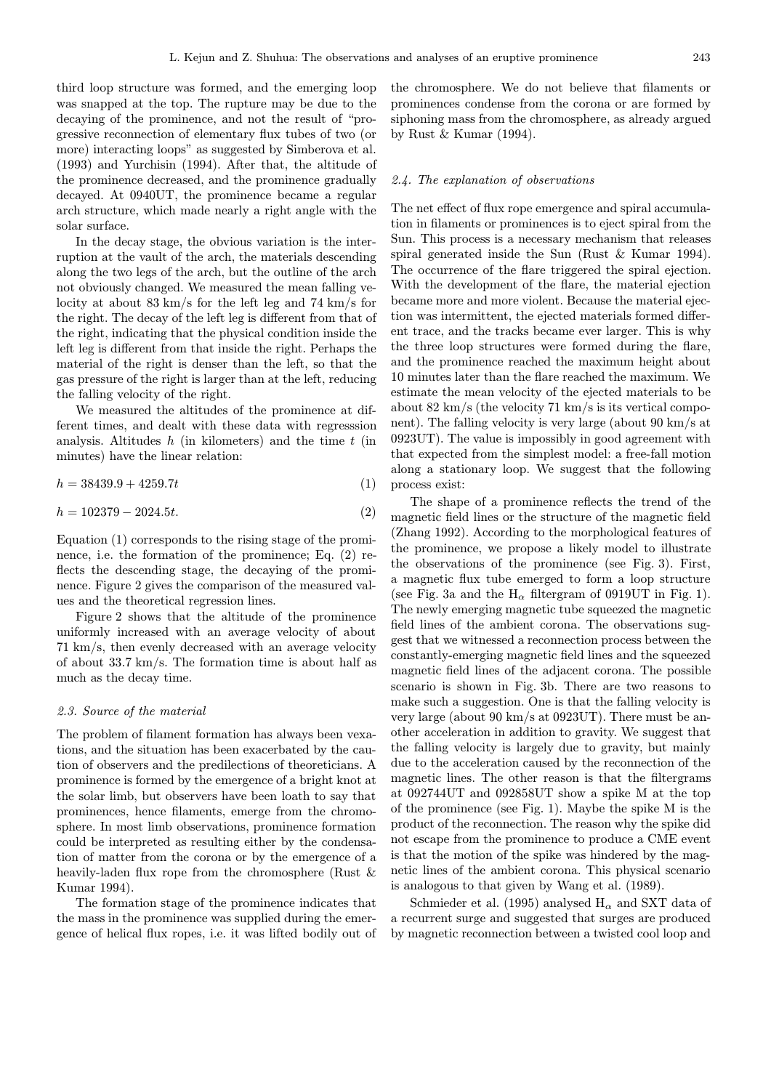third loop structure was formed, and the emerging loop was snapped at the top. The rupture may be due to the decaying of the prominence, and not the result of "progressive reconnection of elementary flux tubes of two (or more) interacting loops" as suggested by Simberova et al. (1993) and Yurchisin (1994). After that, the altitude of the prominence decreased, and the prominence gradually decayed. At 0940UT, the prominence became a regular arch structure, which made nearly a right angle with the solar surface.

In the decay stage, the obvious variation is the interruption at the vault of the arch, the materials descending along the two legs of the arch, but the outline of the arch not obviously changed. We measured the mean falling velocity at about 83 km/s for the left leg and 74 km/s for the right. The decay of the left leg is different from that of the right, indicating that the physical condition inside the left leg is different from that inside the right. Perhaps the material of the right is denser than the left, so that the gas pressure of the right is larger than at the left, reducing the falling velocity of the right.

We measured the altitudes of the prominence at different times, and dealt with these data with regresssion analysis. Altitudes  $h$  (in kilometers) and the time  $t$  (in minutes) have the linear relation:

$$
h = 38439.9 + 4259.7t\tag{1}
$$

$$
h = 102379 - 2024.5t.\t(2)
$$

Equation (1) corresponds to the rising stage of the prominence, i.e. the formation of the prominence; Eq. (2) reflects the descending stage, the decaying of the prominence. Figure 2 gives the comparison of the measured values and the theoretical regression lines.

Figure 2 shows that the altitude of the prominence uniformly increased with an average velocity of about 71 km/s, then evenly decreased with an average velocity of about 33.7 km/s. The formation time is about half as much as the decay time.

#### 2.3. Source of the material

The problem of filament formation has always been vexations, and the situation has been exacerbated by the caution of observers and the predilections of theoreticians. A prominence is formed by the emergence of a bright knot at the solar limb, but observers have been loath to say that prominences, hence filaments, emerge from the chromosphere. In most limb observations, prominence formation could be interpreted as resulting either by the condensation of matter from the corona or by the emergence of a heavily-laden flux rope from the chromosphere (Rust & Kumar 1994).

The formation stage of the prominence indicates that the mass in the prominence was supplied during the emergence of helical flux ropes, i.e. it was lifted bodily out of the chromosphere. We do not believe that filaments or prominences condense from the corona or are formed by siphoning mass from the chromosphere, as already argued by Rust & Kumar (1994).

#### 2.4. The explanation of observations

The net effect of flux rope emergence and spiral accumulation in filaments or prominences is to eject spiral from the Sun. This process is a necessary mechanism that releases spiral generated inside the Sun (Rust & Kumar 1994). The occurrence of the flare triggered the spiral ejection. With the development of the flare, the material ejection became more and more violent. Because the material ejection was intermittent, the ejected materials formed different trace, and the tracks became ever larger. This is why the three loop structures were formed during the flare, and the prominence reached the maximum height about 10 minutes later than the flare reached the maximum. We estimate the mean velocity of the ejected materials to be about 82 km/s (the velocity 71 km/s is its vertical component). The falling velocity is very large (about 90 km/s at 0923UT). The value is impossibly in good agreement with that expected from the simplest model: a free-fall motion along a stationary loop. We suggest that the following process exist:

The shape of a prominence reflects the trend of the magnetic field lines or the structure of the magnetic field (Zhang 1992). According to the morphological features of the prominence, we propose a likely model to illustrate the observations of the prominence (see Fig. 3). First, a magnetic flux tube emerged to form a loop structure (see Fig. 3a and the  $H_{\alpha}$  filtergram of 0919UT in Fig. 1). The newly emerging magnetic tube squeezed the magnetic field lines of the ambient corona. The observations suggest that we witnessed a reconnection process between the constantly-emerging magnetic field lines and the squeezed magnetic field lines of the adjacent corona. The possible scenario is shown in Fig. 3b. There are two reasons to make such a suggestion. One is that the falling velocity is very large (about 90 km/s at 0923UT). There must be another acceleration in addition to gravity. We suggest that the falling velocity is largely due to gravity, but mainly due to the acceleration caused by the reconnection of the magnetic lines. The other reason is that the filtergrams at 092744UT and 092858UT show a spike M at the top of the prominence (see Fig. 1). Maybe the spike M is the product of the reconnection. The reason why the spike did not escape from the prominence to produce a CME event is that the motion of the spike was hindered by the magnetic lines of the ambient corona. This physical scenario is analogous to that given by Wang et al. (1989).

Schmieder et al. (1995) analysed  $H_{\alpha}$  and SXT data of a recurrent surge and suggested that surges are produced by magnetic reconnection between a twisted cool loop and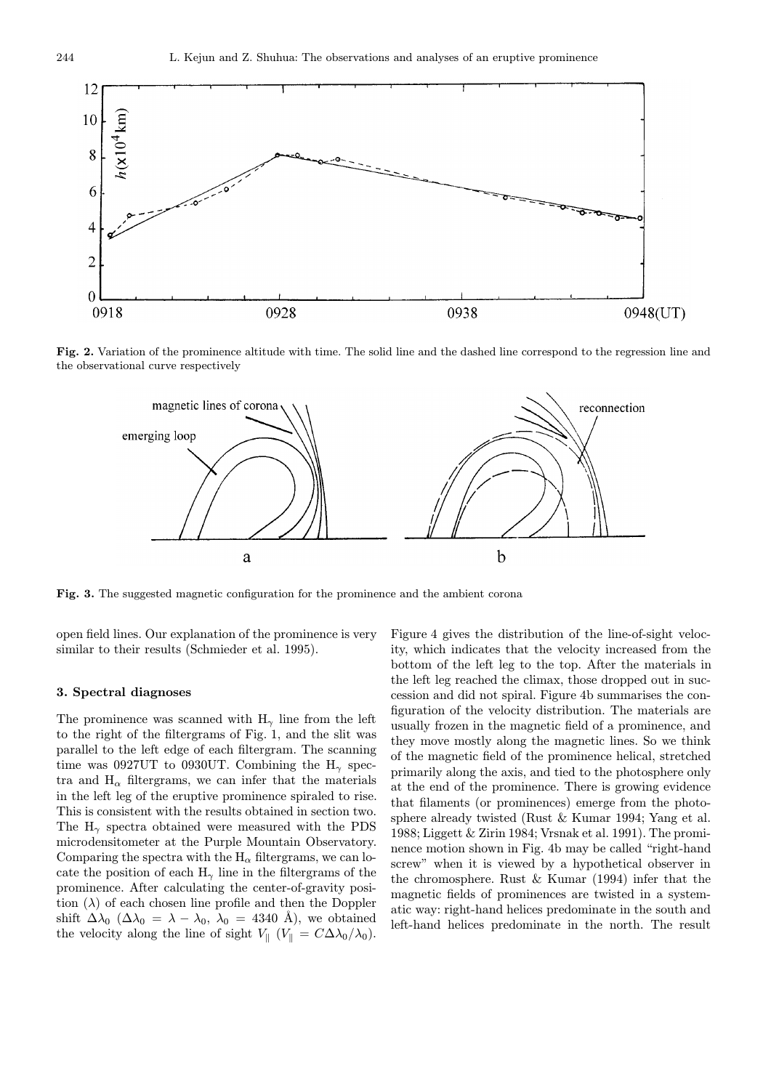

Fig. 2. Variation of the prominence altitude with time. The solid line and the dashed line correspond to the regression line and the observational curve respectively



Fig. 3. The suggested magnetic configuration for the prominence and the ambient corona

open field lines. Our explanation of the prominence is very similar to their results (Schmieder et al. 1995).

### 3. Spectral diagnoses

The prominence was scanned with  $H_{\gamma}$  line from the left to the right of the filtergrams of Fig. 1, and the slit was parallel to the left edge of each filtergram. The scanning time was 0927UT to 0930UT. Combining the  $H_{\gamma}$  spectra and  $H_{\alpha}$  filtergrams, we can infer that the materials in the left leg of the eruptive prominence spiraled to rise. This is consistent with the results obtained in section two. The  $H_{\gamma}$  spectra obtained were measured with the PDS microdensitometer at the Purple Mountain Observatory. Comparing the spectra with the  $H_{\alpha}$  filtergrams, we can locate the position of each  $H_{\gamma}$  line in the filtergrams of the prominence. After calculating the center-of-gravity position  $(\lambda)$  of each chosen line profile and then the Doppler shift  $\Delta\lambda_0$  ( $\Delta\lambda_0 = \lambda - \lambda_0$ ,  $\lambda_0 = 4340$  Å), we obtained the velocity along the line of sight  $V_{\parallel}$  ( $V_{\parallel} = C\Delta\lambda_0/\lambda_0$ ). Figure 4 gives the distribution of the line-of-sight velocity, which indicates that the velocity increased from the bottom of the left leg to the top. After the materials in the left leg reached the climax, those dropped out in succession and did not spiral. Figure 4b summarises the configuration of the velocity distribution. The materials are usually frozen in the magnetic field of a prominence, and they move mostly along the magnetic lines. So we think of the magnetic field of the prominence helical, stretched primarily along the axis, and tied to the photosphere only at the end of the prominence. There is growing evidence that filaments (or prominences) emerge from the photosphere already twisted (Rust & Kumar 1994; Yang et al. 1988; Liggett & Zirin 1984; Vrsnak et al. 1991). The prominence motion shown in Fig. 4b may be called "right-hand screw" when it is viewed by a hypothetical observer in the chromosphere. Rust & Kumar (1994) infer that the magnetic fields of prominences are twisted in a systematic way: right-hand helices predominate in the south and left-hand helices predominate in the north. The result